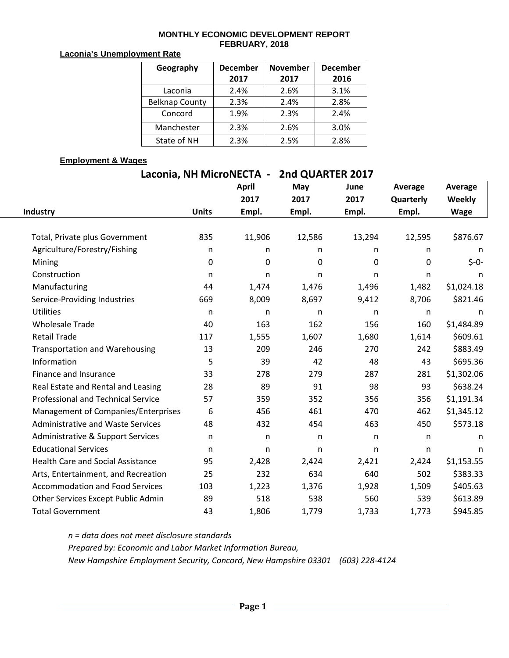### **MONTHLY ECONOMIC DEVELOPMENT REPORT FEBRUARY, 2018**

#### **Laconia's Unemployment Rate**

| Geography             | <b>December</b> | <b>November</b> | <b>December</b> |  |
|-----------------------|-----------------|-----------------|-----------------|--|
|                       | 2017            | 2017            | 2016            |  |
| Laconia               | 2.4%            | 2.6%            | 3.1%            |  |
| <b>Belknap County</b> | 2.3%            | 2.4%            | 2.8%            |  |
| Concord               | 1.9%            | 2.3%            | 2.4%            |  |
| Manchester            | 2.3%            | 2.6%            | 3.0%            |  |
| State of NH           | 2.3%            | 2.5%            | 2.8%            |  |

## **Employment & Wages**

| Laconia, NH MicroNECTA - 2nd QUARTER 2017 |              |              |        |          |              |             |  |  |  |  |  |
|-------------------------------------------|--------------|--------------|--------|----------|--------------|-------------|--|--|--|--|--|
|                                           |              | <b>April</b> | May    | June     | Average      | Average     |  |  |  |  |  |
|                                           |              | 2017         | 2017   | 2017     | Quarterly    | Weekly      |  |  |  |  |  |
| Industry                                  | <b>Units</b> | Empl.        | Empl.  | Empl.    | Empl.        | <b>Wage</b> |  |  |  |  |  |
|                                           |              |              |        |          |              |             |  |  |  |  |  |
| Total, Private plus Government            | 835          | 11,906       | 12,586 | 13,294   | 12,595       | \$876.67    |  |  |  |  |  |
| Agriculture/Forestry/Fishing              | n            | n            | n      | n        | n            | n           |  |  |  |  |  |
| Mining                                    | $\Omega$     | 0            | 0      | $\Omega$ | 0            | $$ -0-$     |  |  |  |  |  |
| Construction                              | n            | n            | n      | n        | n            | n           |  |  |  |  |  |
| Manufacturing                             | 44           | 1,474        | 1,476  | 1,496    | 1,482        | \$1,024.18  |  |  |  |  |  |
| Service-Providing Industries              | 669          | 8,009        | 8,697  | 9,412    | 8,706        | \$821.46    |  |  |  |  |  |
| <b>Utilities</b>                          | n            | n            | n      | n        | n            | n.          |  |  |  |  |  |
| <b>Wholesale Trade</b>                    | 40           | 163          | 162    | 156      | 160          | \$1,484.89  |  |  |  |  |  |
| <b>Retail Trade</b>                       | 117          | 1,555        | 1,607  | 1,680    | 1,614        | \$609.61    |  |  |  |  |  |
| <b>Transportation and Warehousing</b>     | 13           | 209          | 246    | 270      | 242          | \$883.49    |  |  |  |  |  |
| Information                               | 5            | 39           | 42     | 48       | 43           | \$695.36    |  |  |  |  |  |
| Finance and Insurance                     | 33           | 278          | 279    | 287      | 281          | \$1,302.06  |  |  |  |  |  |
| Real Estate and Rental and Leasing        | 28           | 89           | 91     | 98       | 93           | \$638.24    |  |  |  |  |  |
| <b>Professional and Technical Service</b> | 57           | 359          | 352    | 356      | 356          | \$1,191.34  |  |  |  |  |  |
| Management of Companies/Enterprises       | 6            | 456          | 461    | 470      | 462          | \$1,345.12  |  |  |  |  |  |
| <b>Administrative and Waste Services</b>  | 48           | 432          | 454    | 463      | 450          | \$573.18    |  |  |  |  |  |
| Administrative & Support Services         | n            | n            | n      | n        | $\mathsf{n}$ | n           |  |  |  |  |  |
| <b>Educational Services</b>               | n            | n            | n      | n        | n            | n           |  |  |  |  |  |
| <b>Health Care and Social Assistance</b>  | 95           | 2,428        | 2,424  | 2,421    | 2,424        | \$1,153.55  |  |  |  |  |  |
| Arts, Entertainment, and Recreation       | 25           | 232          | 634    | 640      | 502          | \$383.33    |  |  |  |  |  |
| <b>Accommodation and Food Services</b>    | 103          | 1,223        | 1,376  | 1,928    | 1,509        | \$405.63    |  |  |  |  |  |
| Other Services Except Public Admin        | 89           | 518          | 538    | 560      | 539          | \$613.89    |  |  |  |  |  |
| <b>Total Government</b>                   | 43           | 1,806        | 1,779  | 1,733    | 1,773        | \$945.85    |  |  |  |  |  |

*n = data does not meet disclosure standards Prepared by: Economic and Labor Market Information Bureau, New Hampshire Employment Security, Concord, New Hampshire 03301 (603) 228-4124*